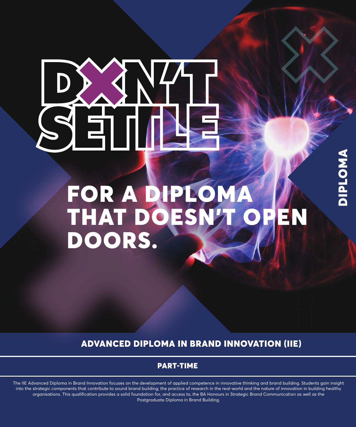# ET A

# FOR A DIPLOMA THAT DOESN'T OPEN DOORS.

DIPLOMA

**VNOTdIC** 

ADVANCED DIPLOMA IN BRAND INNOVATION (IIE)

# PART-TIME

The IIE Advanced Diploma in Brand Innovation focuses on the development of applied competence in innovative thinking and brand building. Students gain insight into the strategic components that contribute to sound brand building; the practice of research in the real-world and the nature of innovation in building healthy organisations. This qualification provides a solid foundation for, and access to, the BA Honours in Strategic Brand Communication as well as the Postgraduate Diploma in Brand Building.